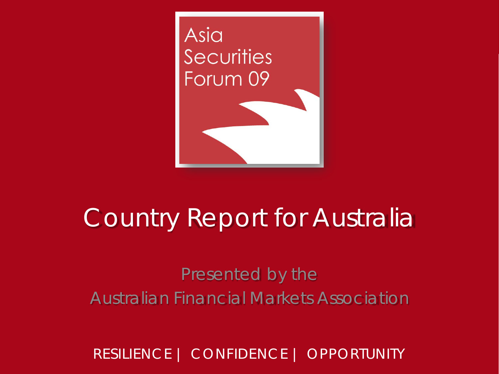

# Country Report for Australia

#### Presented by the Australian Financial Markets Association

RESILIENCE | CONFIDENCE | OPPORTUNITY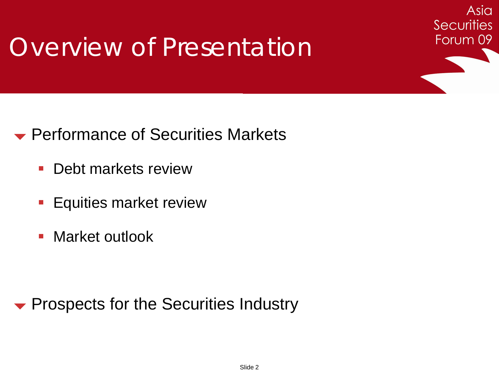## Overview of Presentation

#### **► Performance of Securities Markets**

- **-** Debt markets review
- **Equities market review**
- **Narket outlook**

**• Prospects for the Securities Industry** 

Asia

**Securities** 

Forum 09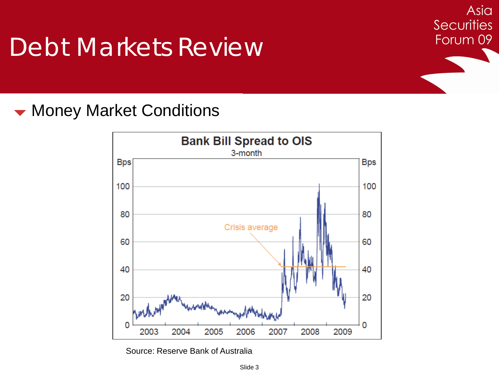#### **Woney Market Conditions**



Asia

**Securities** 

Forum 09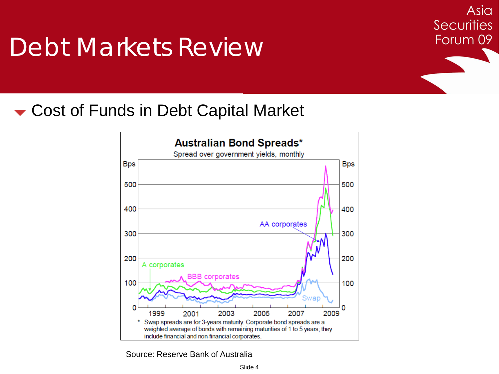Asia **Securities** Forum 09

#### Cost of Funds in Debt Capital Market

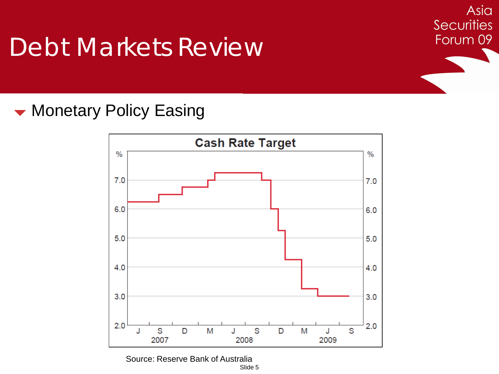Asia **Securities** Forum 09

#### **Wonetary Policy Easing**

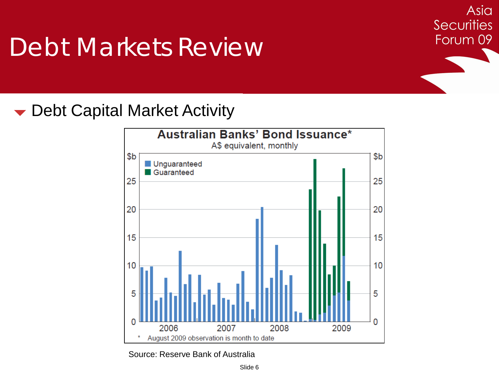Debt Capital Market Activity



Asia

**Securities** 

Forum 09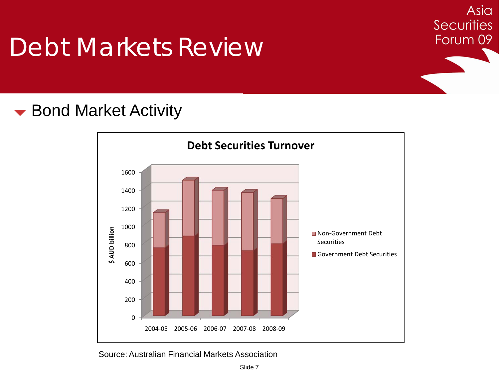#### **► Bond Market Activity**



Asia

**Securities** 

Forum 09

Source: Australian Financial Markets Association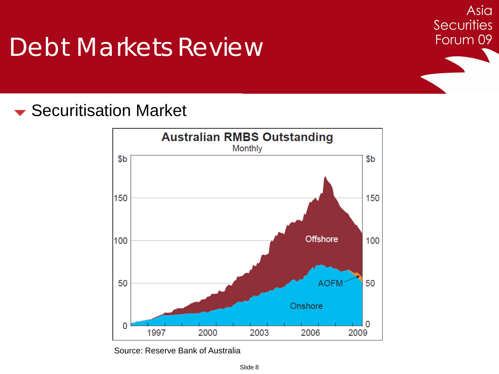#### **► Securitisation Market**



Asia

**Securities** 

Forum 09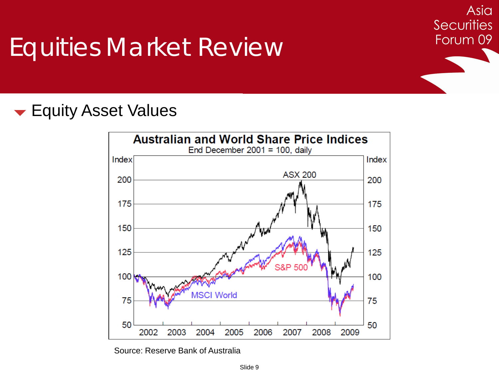### Equities Market Review

#### **Equity Asset Values**



Asia

**Securities** 

Forum 09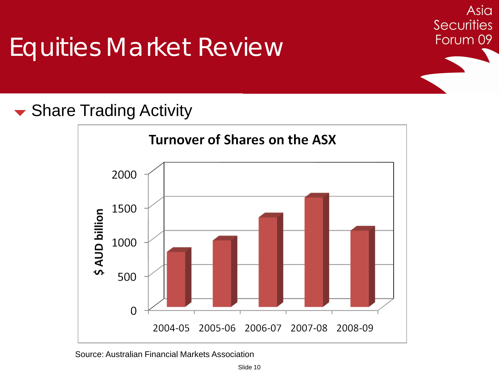### Equities Market Review

#### Asia **Securities** Forum 09

#### **► Share Trading Activity**



Source: Australian Financial Markets Association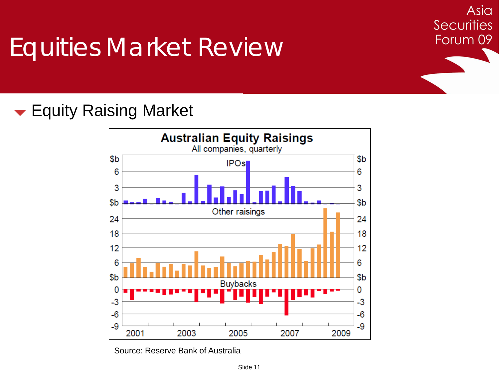# Equities Market Review

#### **Equity Raising Market**



Asia

**Securities** 

Forum 09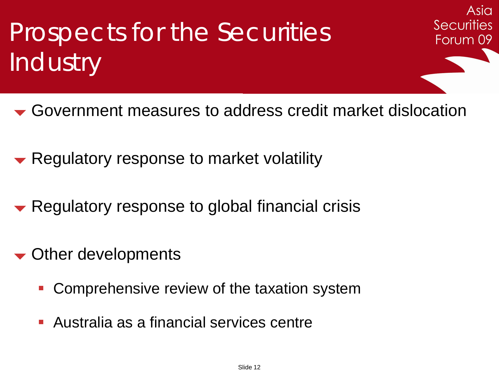Prospects for the Securities' **Industry** 

Government measures to address credit market dislocation

Asia

**Securities** 

Forum 09

- Regulatory response to market volatility
- Regulatory response to global financial crisis
- Other developments
	- **Comprehensive review of the taxation system**
	- Australia as a financial services centre